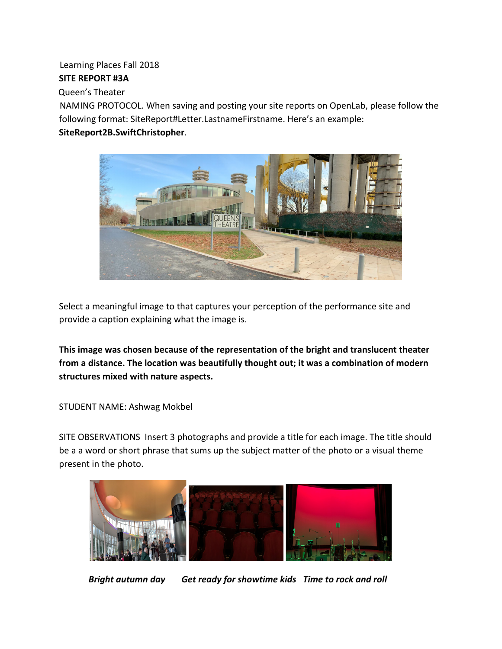# Learning Places Fall 2018

## **SITE REPORT #3A**

Queen's Theater

NAMING PROTOCOL. When saving and posting your site reports on OpenLab, please follow the following format: SiteReport#Letter.LastnameFirstname. Here's an example:

## **SiteReport2B.SwiftChristopher**.



Select a meaningful image to that captures your perception of the performance site and provide a caption explaining what the image is.

**This image was chosen because of the representation of the bright and translucent theater from a distance. The location was beautifully thought out; it was a combination of modern structures mixed with nature aspects.**

STUDENT NAME: Ashwag Mokbel

SITE OBSERVATIONS Insert 3 photographs and provide a title for each image. The title should be a a word or short phrase that sums up the subject matter of the photo or a visual theme present in the photo.



*Bright autumn day Get ready for showtime kids Time to rock and roll*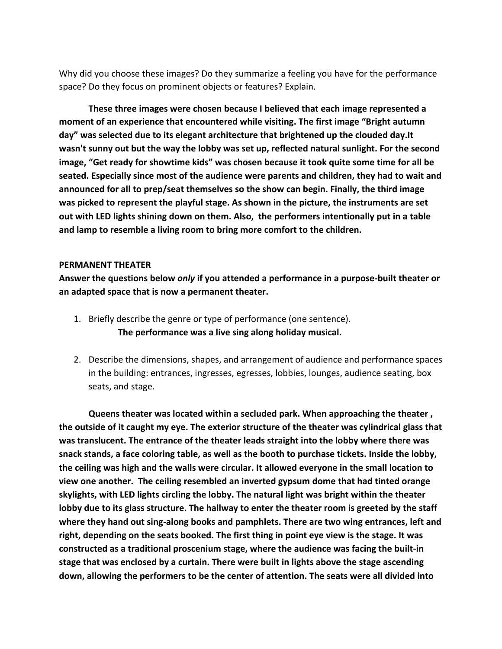Why did you choose these images? Do they summarize a feeling you have for the performance space? Do they focus on prominent objects or features? Explain.

**These three images were chosen because I believed that each image represented a moment of an experience that encountered while visiting. The first image "Bright autumn day" was selected due to its elegant architecture that brightened up the clouded day.It wasn't sunny out but the way the lobby was set up, reflected natural sunlight. For the second image, "Get ready for showtime kids" was chosen because it took quite some time for all be seated. Especially since most of the audience were parents and children, they had to wait and announced for all to prep/seat themselves so the show can begin. Finally, the third image was picked to represent the playful stage. As shown in the picture, the instruments are set out with LED lights shining down on them. Also, the performers intentionally put in a table and lamp to resemble a living room to bring more comfort to the children.**

#### **PERMANENT THEATER**

**Answer the questions below** *only* **if you attended a performance in a purpose-built theater or an adapted space that is now a permanent theater.**

- 1. Briefly describe the genre or type of performance (one sentence). **The performance was a live sing along holiday musical.**
- 2. Describe the dimensions, shapes, and arrangement of audience and performance spaces in the building: entrances, ingresses, egresses, lobbies, lounges, audience seating, box seats, and stage.

**Queens theater was located within a secluded park. When approaching the theater , the outside of it caught my eye. The exterior structure of the theater was cylindrical glass that was translucent. The entrance of the theater leads straight into the lobby where there was snack stands, a face coloring table, as well as the booth to purchase tickets. Inside the lobby, the ceiling was high and the walls were circular. It allowed everyone in the small location to view one another. The ceiling resembled an inverted gypsum dome that had tinted orange skylights, with LED lights circling the lobby. The natural light was bright within the theater lobby due to its glass structure. The hallway to enter the theater room is greeted by the staff where they hand out sing-along books and pamphlets. There are two wing entrances, left and right, depending on the seats booked. The first thing in point eye view is the stage. It was constructed as a traditional proscenium stage, where the audience was facing the built-in stage that was enclosed by a curtain. There were built in lights above the stage ascending down, allowing the performers to be the center of attention. The seats were all divided into**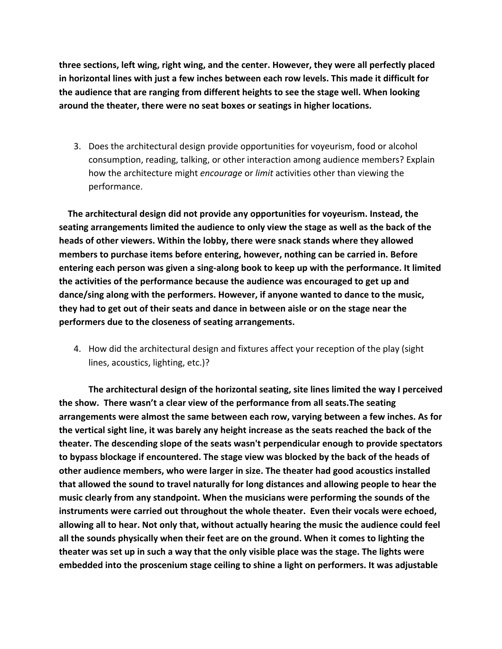**three sections, left wing, right wing, and the center. However, they were all perfectly placed in horizontal lines with just a few inches between each row levels. This made it difficult for the audience that are ranging from different heights to see the stage well. When looking around the theater, there were no seat boxes or seatings in higher locations.**

3. Does the architectural design provide opportunities for voyeurism, food or alcohol consumption, reading, talking, or other interaction among audience members? Explain how the architecture might *encourage* or *limit* activities other than viewing the performance.

 **The architectural design did not provide any opportunities for voyeurism. Instead, the seating arrangements limited the audience to only view the stage as well as the back of the heads of other viewers. Within the lobby, there were snack stands where they allowed members to purchase items before entering, however, nothing can be carried in. Before entering each person was given a sing-along book to keep up with the performance. It limited the activities of the performance because the audience was encouraged to get up and dance/sing along with the performers. However, if anyone wanted to dance to the music, they had to get out of their seats and dance in between aisle or on the stage near the performers due to the closeness of seating arrangements.**

4. How did the architectural design and fixtures affect your reception of the play (sight lines, acoustics, lighting, etc.)?

**The architectural design of the horizontal seating, site lines limited the way I perceived the show. There wasn't a clear view of the performance from all seats.The seating arrangements were almost the same between each row, varying between a few inches. As for the vertical sight line, it was barely any height increase as the seats reached the back of the theater. The descending slope of the seats wasn't perpendicular enough to provide spectators to bypass blockage if encountered. The stage view was blocked by the back of the heads of other audience members, who were larger in size. The theater had good acoustics installed that allowed the sound to travel naturally for long distances and allowing people to hear the music clearly from any standpoint. When the musicians were performing the sounds of the instruments were carried out throughout the whole theater. Even their vocals were echoed, allowing all to hear. Not only that, without actually hearing the music the audience could feel all the sounds physically when their feet are on the ground. When it comes to lighting the theater was set up in such a way that the only visible place was the stage. The lights were embedded into the proscenium stage ceiling to shine a light on performers. It was adjustable**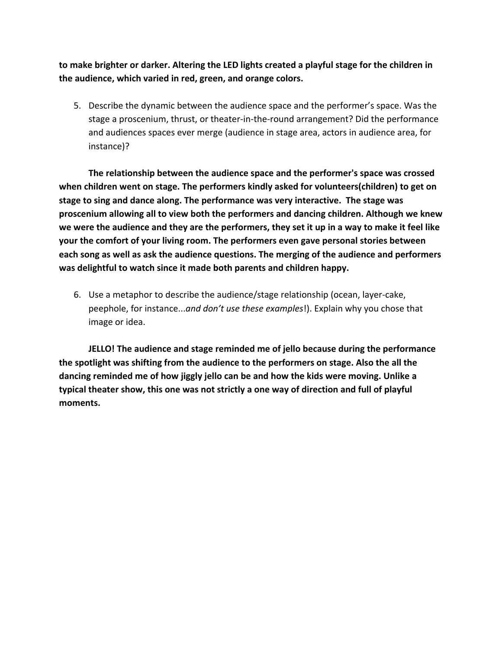**to make brighter or darker. Altering the LED lights created a playful stage for the children in the audience, which varied in red, green, and orange colors.**

5. Describe the dynamic between the audience space and the performer's space. Was the stage a proscenium, thrust, or theater-in-the-round arrangement? Did the performance and audiences spaces ever merge (audience in stage area, actors in audience area, for instance)?

**The relationship between the audience space and the performer's space was crossed when children went on stage. The performers kindly asked for volunteers(children) to get on stage to sing and dance along. The performance was very interactive. The stage was proscenium allowing all to view both the performers and dancing children. Although we knew we were the audience and they are the performers, they set it up in a way to make it feel like your the comfort of your living room. The performers even gave personal stories between each song as well as ask the audience questions. The merging of the audience and performers was delightful to watch since it made both parents and children happy.**

6. Use a metaphor to describe the audience/stage relationship (ocean, layer-cake, peephole, for instance...*and don't use these examples*!). Explain why you chose that image or idea.

**JELLO! The audience and stage reminded me of jello because during the performance the spotlight was shifting from the audience to the performers on stage. Also the all the dancing reminded me of how jiggly jello can be and how the kids were moving. Unlike a typical theater show, this one was not strictly a one way of direction and full of playful moments.**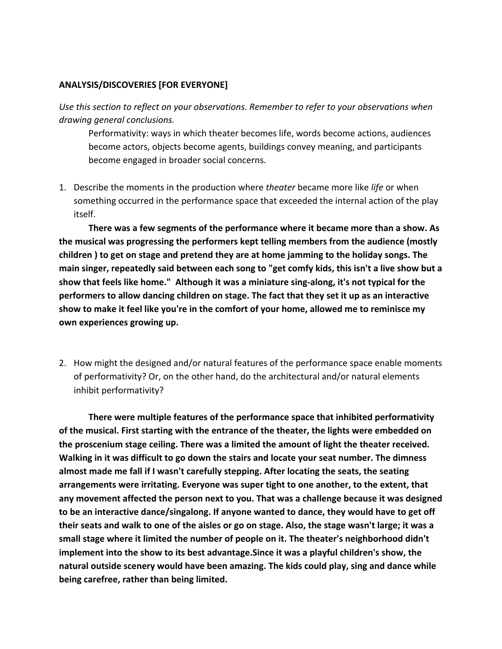### **ANALYSIS/DISCOVERIES [FOR EVERYONE]**

*Use this section to reflect on your observations. Remember to refer to your observations when drawing general conclusions.*

Performativity: ways in which theater becomes life, words become actions, audiences become actors, objects become agents, buildings convey meaning, and participants become engaged in broader social concerns.

1. Describe the moments in the production where *theater* became more like *life* or when something occurred in the performance space that exceeded the internal action of the play itself.

**There was a few segments of the performance where it became more than a show. As the musical was progressing the performers kept telling members from the audience (mostly children ) to get on stage and pretend they are at home jamming to the holiday songs. The main singer, repeatedly said between each song to "get comfy kids, this isn't a live show but a show that feels like home." Although it was a miniature sing-along, it's not typical for the performers to allow dancing children on stage. The fact that they set it up as an interactive show to make it feel like you're in the comfort of your home, allowed me to reminisce my own experiences growing up.**

2. How might the designed and/or natural features of the performance space enable moments of performativity? Or, on the other hand, do the architectural and/or natural elements inhibit performativity?

**There were multiple features of the performance space that inhibited performativity of the musical. First starting with the entrance of the theater, the lights were embedded on the proscenium stage ceiling. There was a limited the amount of light the theater received. Walking in it was difficult to go down the stairs and locate your seat number. The dimness almost made me fall if I wasn't carefully stepping. After locating the seats, the seating arrangements were irritating. Everyone was super tight to one another, to the extent, that any movement affected the person next to you. That was a challenge because it was designed to be an interactive dance/singalong. If anyone wanted to dance, they would have to get off their seats and walk to one of the aisles or go on stage. Also, the stage wasn't large; it was a small stage where it limited the number of people on it. The theater's neighborhood didn't implement into the show to its best advantage.Since it was a playful children's show, the natural outside scenery would have been amazing. The kids could play, sing and dance while being carefree, rather than being limited.**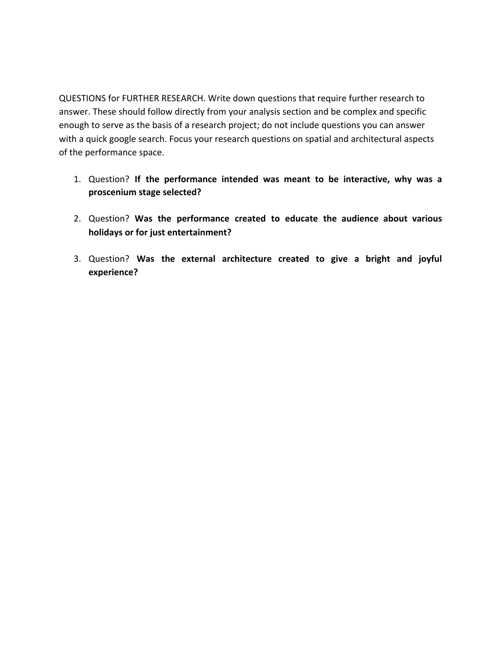QUESTIONS for FURTHER RESEARCH. Write down questions that require further research to answer. These should follow directly from your analysis section and be complex and specific enough to serve as the basis of a research project; do not include questions you can answer with a quick google search. Focus your research questions on spatial and architectural aspects of the performance space.

- 1. Question? **If the performance intended was meant to be interactive, why was a proscenium stage selected?**
- 2. Question? **Was the performance created to educate the audience about various holidays or for just entertainment?**
- 3. Question? **Was the external architecture created to give a bright and joyful experience?**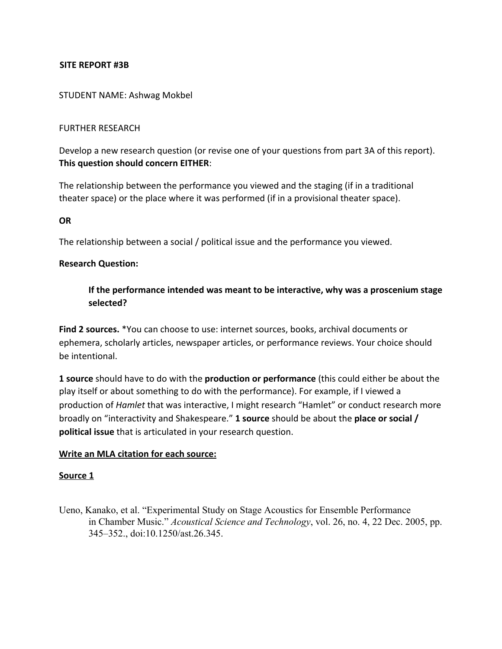## **SITE REPORT #3B**

#### STUDENT NAME: Ashwag Mokbel

#### FURTHER RESEARCH

Develop a new research question (or revise one of your questions from part 3A of this report). **This question should concern EITHER**:

The relationship between the performance you viewed and the staging (if in a traditional theater space) or the place where it was performed (if in a provisional theater space).

#### **OR**

The relationship between a social / political issue and the performance you viewed.

#### **Research Question:**

## **If the performance intended was meant to be interactive, why was a proscenium stage selected?**

**Find 2 sources.** \*You can choose to use: internet sources, books, archival documents or ephemera, scholarly articles, newspaper articles, or performance reviews. Your choice should be intentional.

**1 source** should have to do with the **production or performance** (this could either be about the play itself or about something to do with the performance). For example, if I viewed a production of *Hamlet* that was interactive, I might research "Hamlet" or conduct research more broadly on "interactivity and Shakespeare." **1 source** should be about the **place or social / political issue** that is articulated in your research question.

#### **Write an MLA citation for each source:**

#### **Source 1**

Ueno, Kanako, et al. "Experimental Study on Stage Acoustics for Ensemble Performance in Chamber Music." *Acoustical Science and Technology*, vol. 26, no. 4, 22 Dec. 2005, pp. 345–352., doi:10.1250/ast.26.345.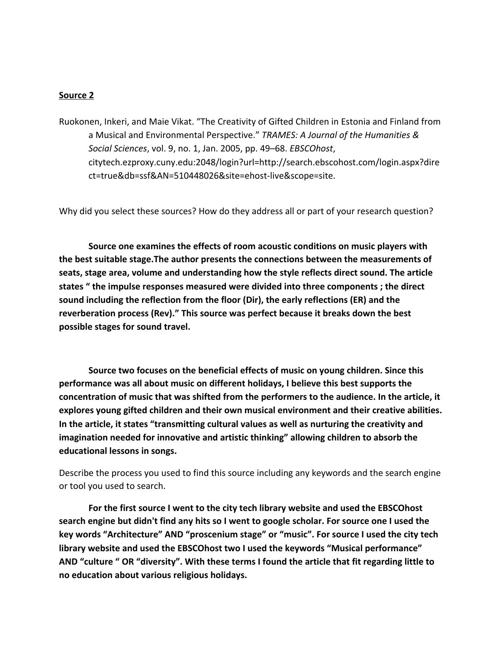#### **Source 2**

Ruokonen, Inkeri, and Maie Vikat. "The Creativity of Gifted Children in Estonia and Finland from a Musical and Environmental Perspective." *TRAMES: A Journal of the Humanities & Social Sciences*, vol. 9, no. 1, Jan. 2005, pp. 49–68. *EBSCOhost*, citytech.ezproxy.cuny.edu:2048/login?url=http://search.ebscohost.com/login.aspx?dire ct=true&db=ssf&AN=510448026&site=ehost-live&scope=site.

Why did you select these sources? How do they address all or part of your research question?

**Source one examines the effects of room acoustic conditions on music players with the best suitable stage.The author presents the connections between the measurements of seats, stage area, volume and understanding how the style reflects direct sound. The article states " the impulse responses measured were divided into three components ; the direct sound including the reflection from the floor (Dir), the early reflections (ER) and the reverberation process (Rev)." This source was perfect because it breaks down the best possible stages for sound travel.**

**Source two focuses on the beneficial effects of music on young children. Since this performance was all about music on different holidays, I believe this best supports the concentration of music that was shifted from the performers to the audience. In the article, it explores young gifted children and their own musical environment and their creative abilities. In the article, it states "transmitting cultural values as well as nurturing the creativity and imagination needed for innovative and artistic thinking" allowing children to absorb the educational lessons in songs.**

Describe the process you used to find this source including any keywords and the search engine or tool you used to search.

**For the first source I went to the city tech library website and used the EBSCOhost search engine but didn't find any hits so I went to google scholar. For source one I used the key words "Architecture" AND "proscenium stage" or "music". For source I used the city tech library website and used the EBSCOhost two I used the keywords "Musical performance" AND "culture " OR "diversity". With these terms I found the article that fit regarding little to no education about various religious holidays.**